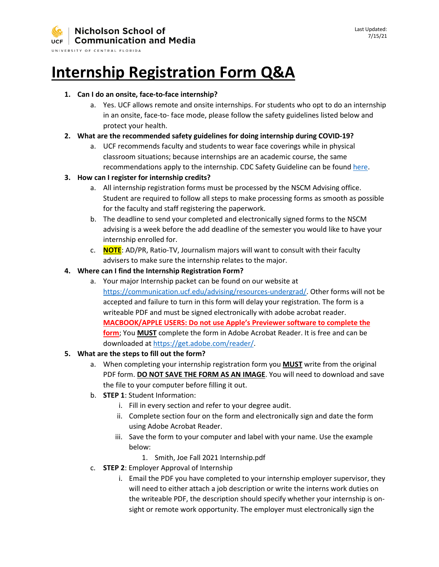UNIVERSITY OF CENTRAL FLORIDA

# **Internship Registration Form Q&A**

#### **1. Can I do an onsite, face-to-face internship?**

a. Yes. UCF allows remote and onsite internships. For students who opt to do an internship in an onsite, face-to- face mode, please follow the safety guidelines listed below and protect your health.

#### **2. What are the recommended safety guidelines for doing internship during COVID-19?**

a. UCF recommends faculty and students to wear face coverings while in physical classroom situations; because internships are an academic course, the same recommendations apply to the internship. CDC Safety Guideline can be foun[d here.](https://www.cdc.gov/coronavirus/2019-ncov/prevent-getting-sick/prevention.html)

#### **3. How can I register for internship credits?**

- a. All internship registration forms must be processed by the NSCM Advising office. Student are required to follow all steps to make processing forms as smooth as possible for the faculty and staff registering the paperwork.
- b. The deadline to send your completed and electronically signed forms to the NSCM advising is a week before the add deadline of the semester you would like to have your internship enrolled for.
- c. **NOTE**: AD/PR, Ratio-TV, Journalism majors will want to consult with their faculty advisers to make sure the internship relates to the major.

#### **4. Where can I find the Internship Registration Form?**

a. Your major Internship packet can be found on our website at [https://communication.ucf.edu/advising/resources-undergrad/.](https://communication.ucf.edu/advising/resources-undergrad/) Other forms will not be accepted and failure to turn in this form will delay your registration. The form is a writeable PDF and must be signed electronically with adobe acrobat reader. **MACBOOK/APPLE USERS: Do not use Apple's Previewer software to complete the form**; You **MUST** complete the form in Adobe Acrobat Reader. It is free and can be downloaded at [https://get.adobe.com/reader/.](https://get.adobe.com/reader/)

### **5. What are the steps to fill out the form?**

- a. When completing your internship registration form you **MUST** write from the original PDF form. **DO NOT SAVE THE FORM AS AN IMAGE**. You will need to download and save the file to your computer before filling it out.
- b. **STEP 1**: Student Information:
	- i. Fill in every section and refer to your degree audit.
	- ii. Complete section four on the form and electronically sign and date the form using Adobe Acrobat Reader.
	- iii. Save the form to your computer and label with your name. Use the example below:
		- 1. Smith, Joe Fall 2021 Internship.pdf
- c. **STEP 2**: Employer Approval of Internship
	- i. Email the PDF you have completed to your internship employer supervisor, they will need to either attach a job description or write the interns work duties on the writeable PDF, the description should specify whether your internship is onsight or remote work opportunity. The employer must electronically sign the